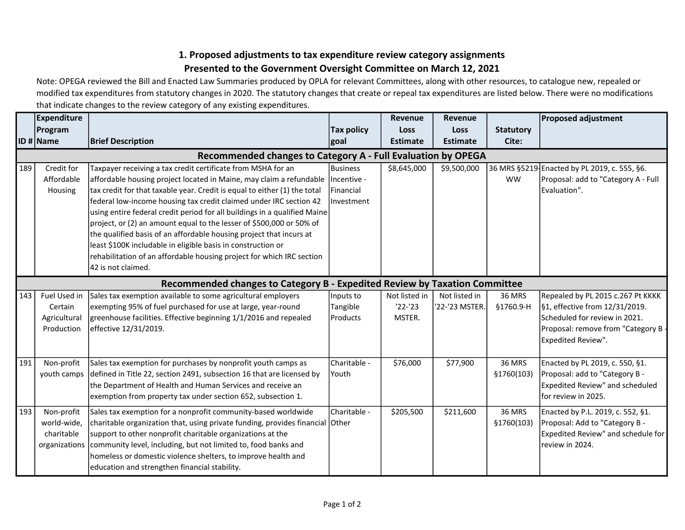## 1. Proposed adjustments to tax expenditure review category assignments Presented to the Government Oversight Committee on March 12, 2021

Note: OPEGA reviewed the Bill and Enacted Law Summaries produced by OPLA for relevant Committees, along with other resources, to catalogue new, repealed or modified tax expenditures from statutory changes in 2020. The statutory changes that create or repeal tax expenditures are listed below. There were no modifications that indicate changes to the review category of any existing expenditures.

|                                                                                           | <b>Expenditure</b>                                       |                                                                                                                                                                                                                                                                                                                                                                                                                                                                                                                                                                                                                                                                                                 |                                              | Revenue                              | <b>Revenue</b>                  |                              | <b>Proposed adjustment</b>                                                                                                                                      |  |  |  |
|-------------------------------------------------------------------------------------------|----------------------------------------------------------|-------------------------------------------------------------------------------------------------------------------------------------------------------------------------------------------------------------------------------------------------------------------------------------------------------------------------------------------------------------------------------------------------------------------------------------------------------------------------------------------------------------------------------------------------------------------------------------------------------------------------------------------------------------------------------------------------|----------------------------------------------|--------------------------------------|---------------------------------|------------------------------|-----------------------------------------------------------------------------------------------------------------------------------------------------------------|--|--|--|
|                                                                                           | Program                                                  |                                                                                                                                                                                                                                                                                                                                                                                                                                                                                                                                                                                                                                                                                                 | <b>Tax policy</b>                            | <b>Loss</b>                          | Loss                            | <b>Statutory</b>             |                                                                                                                                                                 |  |  |  |
|                                                                                           | <b>ID</b> # Name                                         | <b>Brief Description</b>                                                                                                                                                                                                                                                                                                                                                                                                                                                                                                                                                                                                                                                                        | goal                                         | <b>Estimate</b>                      | <b>Estimate</b>                 | Cite:                        |                                                                                                                                                                 |  |  |  |
| Recommended changes to Category A - Full Evaluation by OPEGA                              |                                                          |                                                                                                                                                                                                                                                                                                                                                                                                                                                                                                                                                                                                                                                                                                 |                                              |                                      |                                 |                              |                                                                                                                                                                 |  |  |  |
| 189                                                                                       | Credit for<br>Affordable<br>Housing                      | Taxpayer receiving a tax credit certificate from MSHA for an<br>affordable housing project located in Maine, may claim a refundable   Incentive -<br>tax credit for that taxable year. Credit is equal to either (1) the total<br>federal low-income housing tax credit claimed under IRC section 42<br>using entire federal credit period for all buildings in a qualified Maine<br>project, or (2) an amount equal to the lesser of \$500,000 or 50% of<br>the qualified basis of an affordable housing project that incurs at<br>least \$100K includable in eligible basis in construction or<br>rehabilitation of an affordable housing project for which IRC section<br>42 is not claimed. | Business<br><b>IFinancial</b><br>linvestment | \$8,645,000                          | \$9,500,000                     | <b>WW</b>                    | 36 MRS §5219 Enacted by PL 2019, c. 555, §6.<br>Proposal: add to "Category A - Full<br>Evaluation".                                                             |  |  |  |
| <b>Expedited Review by Taxation Committee</b><br><b>Recommended changes to Category B</b> |                                                          |                                                                                                                                                                                                                                                                                                                                                                                                                                                                                                                                                                                                                                                                                                 |                                              |                                      |                                 |                              |                                                                                                                                                                 |  |  |  |
| 143                                                                                       | Fuel Used in<br>Certain<br>Agricultural<br>Production    | Sales tax exemption available to some agricultural employers<br>exempting 95% of fuel purchased for use at large, year-round<br>greenhouse facilities. Effective beginning 1/1/2016 and repealed<br>effective 12/31/2019.                                                                                                                                                                                                                                                                                                                                                                                                                                                                       | Inputs to<br>Tangible<br><b>IProducts</b>    | Not listed in<br>$'22-'23$<br>MSTER. | Not listed in<br>'22-'23 MSTER. | <b>36 MRS</b><br>§1760.9-H   | Repealed by PL 2015 c.267 Pt KKKK<br>§1, effective from 12/31/2019.<br>Scheduled for review in 2021.<br>Proposal: remove from "Category B<br>Expedited Review". |  |  |  |
| 191                                                                                       | Non-profit<br>youth camps                                | Sales tax exemption for purchases by nonprofit youth camps as<br>defined in Title 22, section 2491, subsection 16 that are licensed by<br>the Department of Health and Human Services and receive an<br>exemption from property tax under section 652, subsection 1.                                                                                                                                                                                                                                                                                                                                                                                                                            | Charitable -<br> Youth                       | \$76,000                             | \$77,900                        | <b>36 MRS</b><br>§1760(103)  | Enacted by PL 2019, c. 550, §1.<br>Proposal: add to "Category B -<br>Expedited Review" and scheduled<br>lfor review in 2025.                                    |  |  |  |
| 193                                                                                       | Non-profit<br>world-wide,<br>charitable<br>organizations | Sales tax exemption for a nonprofit community-based worldwide<br>charitable organization that, using private funding, provides financial Other<br>support to other nonprofit charitable organizations at the<br>community level, including, but not limited to, food banks and<br>homeless or domestic violence shelters, to improve health and<br>education and strengthen financial stability.                                                                                                                                                                                                                                                                                                | Charitable -                                 | \$205,500                            | \$211,600                       | <b>36 MRS</b><br>\$1760(103) | Enacted by P.L. 2019, c. 552, §1.<br>Proposal: Add to "Category B -<br>Expedited Review" and schedule for<br>review in 2024.                                    |  |  |  |